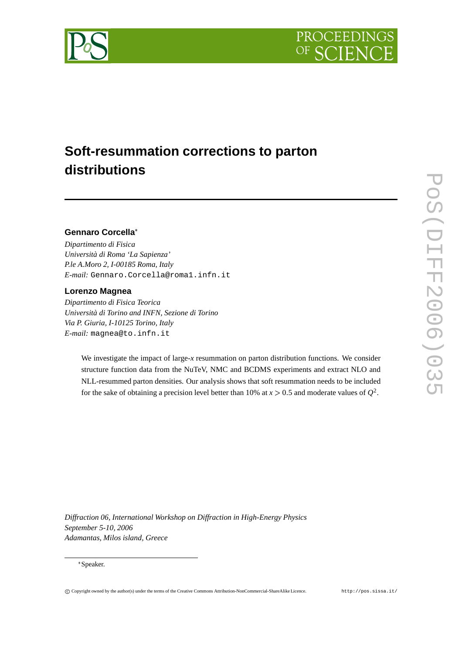



# **Soft-resummation corrections to parton distributions**

## **Gennaro Corcella**

*Dipartimento di Fisica Università di Roma 'La Sapienza' P.le A.Moro 2, I-00185 Roma, Italy E-mail:* Gennaro.Corcella@roma1.infn.it

### **Lorenzo Magnea**

*Dipartimento di Fisica Teorica Università di Torino and INFN, Sezione di Torino Via P. Giuria, I-10125 Torino, Italy E-mail:* magnea@to.infn.it

> We investigate the impact of large-*x* resummation on parton distribution functions. We consider structure function data from the NuTeV, NMC and BCDMS experiments and extract NLO and NLL-resummed parton densities. Our analysis shows that soft resummation needs to be included for the sake of obtaining a precision level better than 10% at  $x > 0.5$  and moderate values of  $Q^2$ .

*Diffraction 06, International Workshop on Diffraction in High-Energy Physics September 5-10, 2006 Adamantas, Milos island, Greece*

#### Speaker.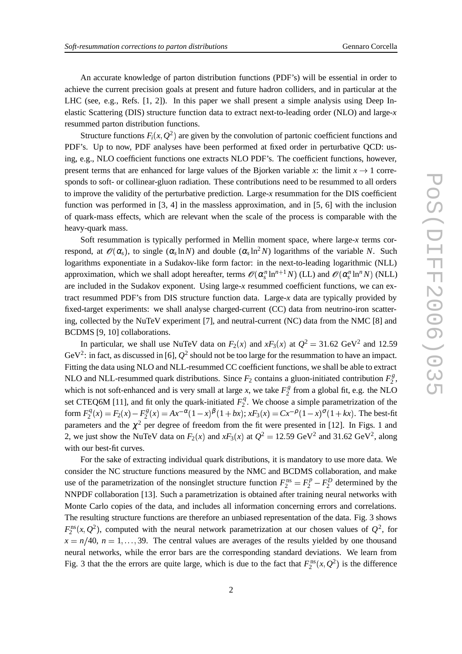An accurate knowledge of parton distribution functions (PDF's) will be essential in order to achieve the current precision goals at present and future hadron colliders, and in particular at the LHC (see, e.g., Refs. [1, 2]). In this paper we shall present a simple analysis using Deep Inelastic Scattering (DIS) structure function data to extract next-to-leading order (NLO) and large-*x* resummed parton distribution functions.

Structure functions  $F_i(x, Q^2)$  are given by the convolution of partonic coefficient functions and PDF's. Up to now, PDF analyses have been performed at fixed order in perturbative QCD: using, e.g., NLO coefficient functions one extracts NLO PDF's. The coefficient functions, however, sponds to soft- or collinear-gluon radiation. These contributions need to be resummed to all orders to improve the validity of the perturbative prediction. Large-*x* resummation for the DIS coefficient function was performed in [3, 4] in the massless approximation, and in [5, 6] with the inclusion of quark-mass effects, which are relevant when the scale of the process is comparable with the heavy-quark mass.

present terms that are enhanced for large values of the Bjorken variable *x*: the limit *x* + 1 corresponds to soft- or collinear-gluon radiation. These contributions need to be resummed to all orders<br>for improve the vali Soft resummation is typically performed in Mellin moment space, where large-*x* terms correspond, at  $\mathscr{O}(\alpha_s)$ , to single  $(\alpha_s \ln N)$  and double  $(\alpha_s \ln^2 N)$  logarithms of the variable *N*. Such logarithms exponentiate in a Sudakov-like form factor: in the next-to-leading logarithmic (NLL) approximation, which we shall adopt hereafter, terms  $\mathscr{O}(\alpha_s^n \ln^{n+1} N)$  (LL) and  $\mathscr{O}(\alpha_s^n \ln^n N)$  (NLL) are included in the Sudakov exponent. Using large-*x* resummed coefficient functions, we can extract resummed PDF's from DIS structure function data. Large-*x* data are typically provided by fixed-target experiments: we shall analyse charged-current (CC) data from neutrino-iron scattering, collected by the NuTeV experiment [7], and neutral-current (NC) data from the NMC [8] and BCDMS [9, 10] collaborations.

In particular, we shall use NuTeV data on  $F_2(x)$  and  $xF_3(x)$  at  $Q^2 = 31.62 \text{ GeV}^2$  and 12.59 GeV<sup>2</sup>: in fact, as discussed in [6],  $Q^2$  should not be too large for the resummation to have an impact. Fitting the data using NLO and NLL-resummed CC coefficient functions, we shall be able to extract NLO and NLL-resummed quark distributions. Since  $F_2$  contains a gluon-initiated contribution  $F_2^g$  $\frac{g}{2}$ , which is not soft-enhanced and is very small at large *x*, we take  $F_2^g$  $\frac{1}{2}$  from a global fit, e.g. the NLO set CTEQ6M [11], and fit only the quark-initiated  $F_2^q$  $2<sup>q</sup>$ . We choose a simple parametrization of the form  $F_2^q(x) = F_2(x) - F_2^g(x) = Ax^{-\alpha}(1-x)^{\beta}(1+bx); xF_3(x) = Cx^{-\beta}(1-x)^{\sigma}(1+bx)$ . The best-fit parameters and the  $\chi^2$  per degree of freedom from the fit were presented in [12]. In Figs. 1 and 2, we just show the NuTeV data on  $F_2(x)$  and  $xF_3(x)$  at  $Q^2 = 12.59 \text{ GeV}^2$  and 31.62  $\text{GeV}^2$ , along with our best-fit curves.

For the sake of extracting individual quark distributions, it is mandatory to use more data. We consider the NC structure functions measured by the NMC and BCDMS collaboration, and make use of the parametrization of the nonsinglet structure function  $F_2^{\text{ns}} = F_2^p - F_2^p$  determined by the NNPDF collaboration [13]. Such a parametrization is obtained after training neural networks with Monte Carlo copies of the data, and includes all information concerning errors and correlations. The resulting structure functions are therefore an unbiased representation of the data. Fig. 3 shows  $F_2^{\text{ns}}(x, Q^2)$ , computed with the neural network parametrization at our chosen values of  $Q^2$ , for  $x = n/40$ ,  $n = 1, \ldots, 39$ . The central values are averages of the results yielded by one thousand neural networks, while the error bars are the corresponding standard deviations. We learn from Fig. 3 that the the errors are quite large, which is due to the fact that  $F_2^{\text{ns}}(x, Q^2)$  is the difference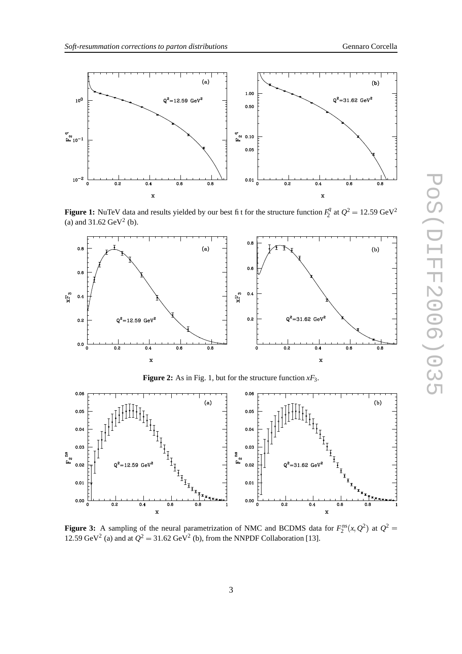

**Figure 1:** NuTeV data and results yielded by our best fit for the structure function  $F_2^q$  $Q^2 = 12.59 \text{ GeV}^2$ (a) and  $31.62 \text{ GeV}^2$  (b).



**Figure 2:** As in Fig. 1, but for the structure function  $xF_3$ .



**Figure 3:** A sampling of the neural parametrization of NMC and BCDMS data for  $F_2^{\text{ns}}(x, Q^2)$  at  $Q^2 =$ 12.59 GeV<sup>2</sup> (a) and at  $Q^2 = 31.62$  GeV<sup>2</sup> (b), from the NNPDF Collaboration [13].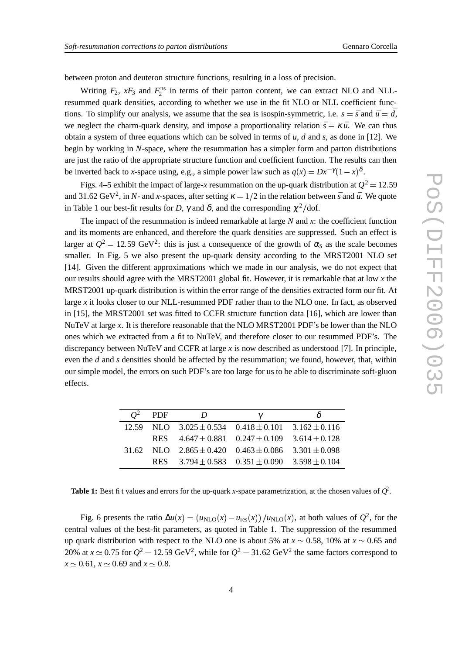between proton and deuteron structure functions, resulting in a loss of precision.

Writing  $F_2$ ,  $xF_3$  and  $F_2^{\text{ns}}$  in terms of their parton content, we can extract NLO and NLLresummed quark densities, according to whether we use in the fit NLO or NLL coefficient functions. To simplify our analysis, we assume that the sea is isospin-symmetric, i.e.  $s = \bar{s}$  and  $\bar{u} = \bar{d}$ , we neglect the charm-quark density, and impose a proportionality relation  $\bar{s} = \kappa \bar{u}$ . We can thus obtain a system of three equations which can be solved in terms of  $u$ ,  $d$  and  $s$ , as done in [12]. We begin by working in *N*-space, where the resummation has a simpler form and parton distributions are just the ratio of the appropriate structure function and coefficient function. The results can then be inverted back to *x*-space using, e.g., a simple power law such as  $q(x) = Dx^{-\gamma}(1-x)^{\delta}$ .

Figs. 4–5 exhibit the impact of large-*x* resummation on the up-quark distribution at  $Q^2 = 12.59$ and 31.62 GeV<sup>2</sup>, in *N*- and *x*-spaces, after setting  $\kappa = 1/2$  in the relation between *s* and *u*<sup>n</sup>. We quote in Table 1 our best-fit results for *D*,  $\gamma$  and  $\delta$ , and the corresponding  $\chi^2$ /dof.

The impact of the resummation is indeed remarkable at large *N* and *x*: the coefficient function and its moments are enhanced, and therefore the quark densities are suppressed. Such an effect is larger at  $Q^2 = 12.59 \text{ GeV}^2$ : this is just a consequence of the growth of  $\alpha_s$  as the scale becomes smaller. In Fig. 5 we also present the up-quark density according to the MRST2001 NLO set [14]. Given the different approximations which we made in our analysis, we do not expect that our results should agree with the MRST2001 global fit. However, it is remarkable that at low *x* the MRST2001 up-quark distribution is within the error range of the densities extracted form our fit. At large *x* it looks closer to our NLL-resummed PDF rather than to the NLO one. In fact, as observed in [15], the MRST2001 set was fitted to CCFR structure function data [16], which are lower than NuTeV at large *x*. It is therefore reasonable that the NLO MRST2001 PDF's be lower than the NLO ones which we extracted from a fit to NuTeV, and therefore closer to our resummed PDF's. The discrepancy between NuTeV and CCFR at large *x* is now described as understood [7]. In principle, even the *d* and *s* densities should be affected by the resummation; we found, however, that, within our simple model, the errors on such PDF's are too large for us to be able to discriminate soft-gluon effects.

| PDF        | $\boldsymbol{\eta}$ |                                                                   |  |
|------------|---------------------|-------------------------------------------------------------------|--|
|            |                     | 12.59 NLO $3.025 \pm 0.534$ $0.418 \pm 0.101$ $3.162 \pm 0.116$   |  |
| <b>RES</b> |                     | $4.647 \pm 0.881$ $0.247 \pm 0.109$ $3.614 \pm 0.128$             |  |
|            |                     | $31.62$ NLO $2.865 \pm 0.420$ $0.463 \pm 0.086$ $3.301 \pm 0.098$ |  |
|            |                     | RES $3.794 \pm 0.583$ $0.351 \pm 0.090$ $3.598 \pm 0.104$         |  |

**Table 1:** Best fit values and errors for the up-quark *x*-space parametrization, at the chosen values of  $Q^2$ .

Fig. 6 presents the ratio  $\Delta u(x) = (u_{NLO}(x) - u_{res}(x))/u_{NLO}(x)$ , at both values of  $Q^2$ , for the central values of the best-fit parameters, as quoted in Table 1. The suppression of the resummed up quark distribution with respect to the NLO one is about 5% at  $x \approx 0.58$ , 10% at  $x \approx 0.65$  and 20% at  $x \approx 0.75$  for  $Q^2 = 12.59$  GeV<sup>2</sup>, while for  $Q^2 = 31.62$  GeV<sup>2</sup> the same factors correspond to  $x \approx 0.61$ ,  $x \approx 0.69$  and  $x \approx 0.8$ .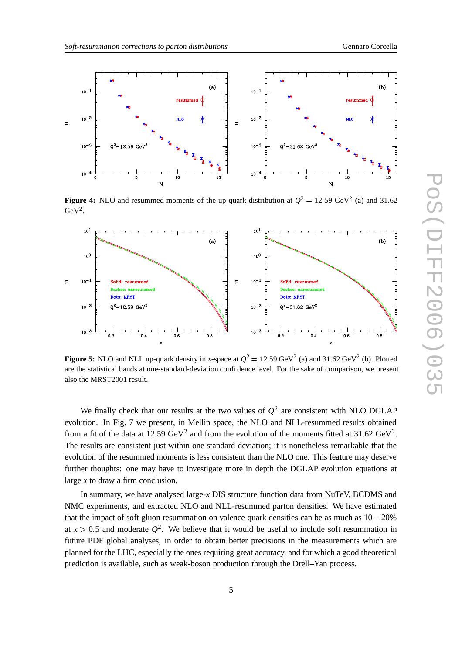

**Figure 4:** NLO and resummed moments of the up quark distribution at  $Q^2 = 12.59 \text{ GeV}^2$  (a) and 31.62  $GeV<sup>2</sup>$ .



**Figure 5:** NLO and NLL up-quark density in *x*-space at  $Q^2 = 12.59$  GeV<sup>2</sup> (a) and 31.62 GeV<sup>2</sup> (b). Plotted are the statistical bands at one-standard-deviation confidence level. For the sake of comparison, we present also the MRST2001 result.

We finally check that our results at the two values of  $Q^2$  are consistent with NLO DGLAP evolution. In Fig. 7 we present, in Mellin space, the NLO and NLL-resummed results obtained from a fit of the data at 12.59  $GeV^2$  and from the evolution of the moments fitted at 31.62  $GeV^2$ . The results are consistent just within one standard deviation; it is nonetheless remarkable that the evolution of the resummed moments is less consistent than the NLO one. This feature may deserve further thoughts: one may have to investigate more in depth the DGLAP evolution equations at large *x* to draw a firm conclusion.

In summary, we have analysed large-*x* DIS structure function data from NuTeV, BCDMS and NMC experiments, and extracted NLO and NLL-resummed parton densities. We have estimated that the impact of soft gluon resummation on valence quark densities can be as much as  $10-20\%$ at  $x > 0.5$  and moderate  $Q^2$ . We believe that it would be useful to include soft resummation in future PDF global analyses, in order to obtain better precisions in the measurements which are planned for the LHC, especially the ones requiring great accuracy, and for which a good theoretical prediction is available, such as weak-boson production through the Drell–Yan process.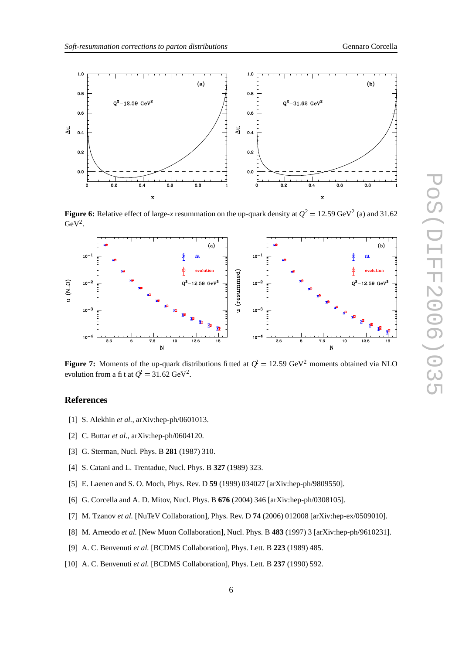

**Figure 6:** Relative effect of large-*x* resummation on the up-quark density at  $Q^2 = 12.59$  GeV<sup>2</sup> (a) and 31.62  $GeV<sup>2</sup>$ .



**Figure 7:** Moments of the up-quark distributions fitted at  $Q^2 = 12.59 \text{ GeV}^2$  moments obtained via NLO evolution from a fi t at  $Q^2 = 31.62 \text{ GeV}^2$ .

### **References**

- [1] S. Alekhin *et al.*, arXiv:hep-ph/0601013.
- [2] C. Buttar *et al.*, arXiv:hep-ph/0604120.
- [3] G. Sterman, Nucl. Phys. B **281** (1987) 310.
- [4] S. Catani and L. Trentadue, Nucl. Phys. B **327** (1989) 323.
- [5] E. Laenen and S. O. Moch, Phys. Rev. D **59** (1999) 034027 [arXiv:hep-ph/9809550].
- [6] G. Corcella and A. D. Mitov, Nucl. Phys. B **676** (2004) 346 [arXiv:hep-ph/0308105].
- [7] M. Tzanov *et al.* [NuTeV Collaboration], Phys. Rev. D **74** (2006) 012008 [arXiv:hep-ex/0509010].
- [8] M. Arneodo *et al.* [New Muon Collaboration], Nucl. Phys. B **483** (1997) 3 [arXiv:hep-ph/9610231].
- [9] A. C. Benvenuti *et al.* [BCDMS Collaboration], Phys. Lett. B **223** (1989) 485.
- [10] A. C. Benvenuti *et al.* [BCDMS Collaboration], Phys. Lett. B **237** (1990) 592.